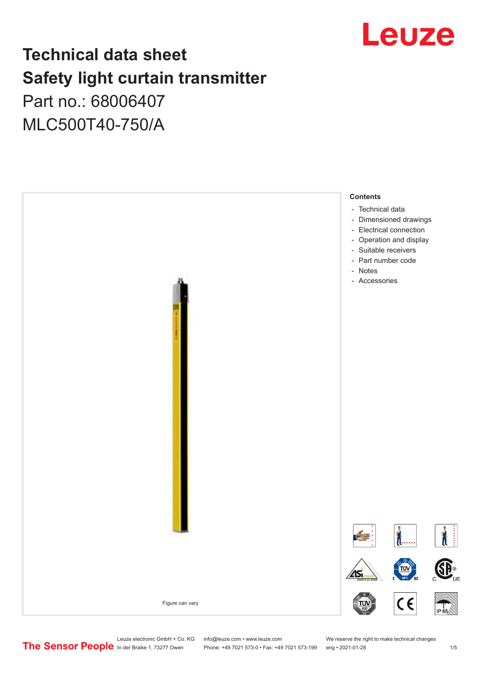

# **Technical data sheet Safety light curtain transmitter**

Part no.: 68006407 MLC500T40-750/A



Leuze electronic GmbH + Co. KG info@leuze.com • www.leuze.com We reserve the right to make technical changes<br>
The Sensor People in der Braike 1, 73277 Owen Phone: +49 7021 573-0 • Fax: +49 7021 573-199 eng • 2021-01-28

Phone: +49 7021 573-0 • Fax: +49 7021 573-199 eng • 2021-01-28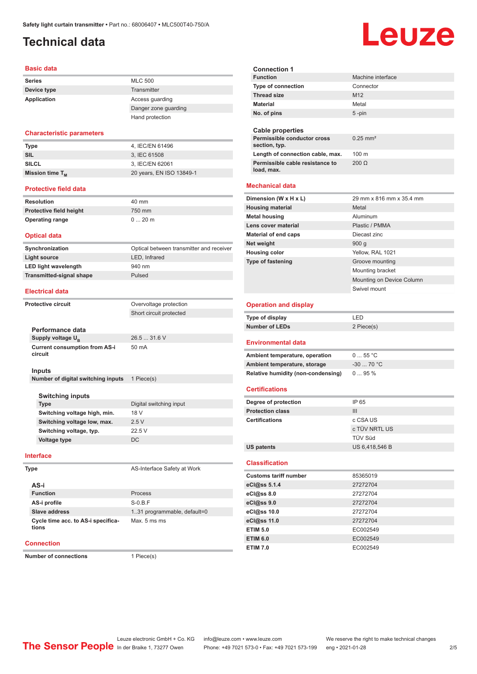# <span id="page-1-0"></span>**Technical data**

#### **Basic data**

| <b>Series</b> | <b>MLC 500</b>       |
|---------------|----------------------|
| Device type   | Transmitter          |
| Application   | Access quarding      |
|               | Danger zone guarding |
|               | Hand protection      |

#### **Characteristic parameters**

| <b>Type</b>          | 4. IEC/EN 61496          |
|----------------------|--------------------------|
| SIL                  | 3. IEC 61508             |
| <b>SILCL</b>         | 3. IEC/EN 62061          |
| Mission time $T_{M}$ | 20 years, EN ISO 13849-1 |

#### **Protective field data**

| Resolution              | 40 mm   |
|-------------------------|---------|
| Protective field height | 750 mm  |
| <b>Operating range</b>  | $020$ m |

#### **Optical data**

| Synchronization                 | Optical between transmitter and receiver |
|---------------------------------|------------------------------------------|
| Light source                    | LED, Infrared                            |
| <b>LED light wavelength</b>     | 940 nm                                   |
| <b>Transmitted-signal shape</b> | Pulsed                                   |

#### **Electrical data**

| Protective circuit                              | Overvoltage protection  |
|-------------------------------------------------|-------------------------|
|                                                 |                         |
|                                                 | Short circuit protected |
|                                                 |                         |
| Performance data                                |                         |
| Supply voltage $U_{\rm B}$                      | 26.531.6V               |
| <b>Current consumption from AS-i</b><br>circuit | $50 \text{ mA}$         |
| Inputs                                          |                         |
| Number of digital switching inputs              | 1 Piece(s)              |
| Switching inputs                                |                         |

| <b>Switching inputs</b>      |                         |
|------------------------------|-------------------------|
| Type                         | Digital switching input |
| Switching voltage high, min. | 18 V                    |
| Switching voltage low, max.  | 25V                     |
| Switching voltage, typ.      | 22.5V                   |
| Voltage type                 | DC.                     |

#### **Interface**

#### **AS-i Function** Process **AS-i profile** S-0.B.F **Slave address** 1..31 programmable, default=0 **Cycle time acc. to AS-i specifications** Max. 5 ms ms

#### **Connection**

**Number of connections** 1 Piece(s)

**AS-Interface Safety at Work** 

**Connection 1 Machine interface Type of connection Thread size** M12 **Material** Metal **No. of pins** 5 -pin **Cable properties Permissible conductor cross section, typ.** 0.25 mm² Length of connection cable, max. 100 m **Permissible cable resistance to load, max.** 200 Ω **Mechanical data Dimension (W x H x L)** 29 mm x 816 mm x 35.4 mm **Housing material Metal Metal Metal housing Aluminum Lens cover material Plastic / PMMA Material of end caps** Diecast zinc **Net weight** 900 g **Housing color** Yellow, RAL 1021 **Type of fastening** Groove mounting Mounting bracket Mounting on Device Column Swivel mount **Operation and display Type of display** LED **Number of LEDs** 2 Piece(s) **Environmental data** Ambient temperature, operation 0 ... 55 °C **Ambient temperature, storage** -30 ... 70 °C **Relative humidity (non-condensing)** 0 ... 95 % **Certifications Degree of protection** IP 65 **Protection class III Certifications** c CSA US c TÜV NRTL US TÜV Süd **US patents** US 6,418,546 B **Classification Customs tariff number** 85365019 **eCl@ss 5.1.4** 27272704 **eCl@ss 8.0** 27272704 **eCl@ss 9.0** 27272704 **eCl@ss 10.0** 27272704 **eCl@ss 11.0** 27272704 **ETIM 5.0** EC002549 **ETIM 6.0** EC002549 **ETIM 7.0** EC002549

# Leuze

Leuze electronic GmbH + Co. KG info@leuze.com • www.leuze.com We reserve the right to make technical changes<br>
The Sensor People in der Braike 1, 73277 Owen Phone: +49 7021 573-0 • Fax: +49 7021 573-199 eng • 2021-01-28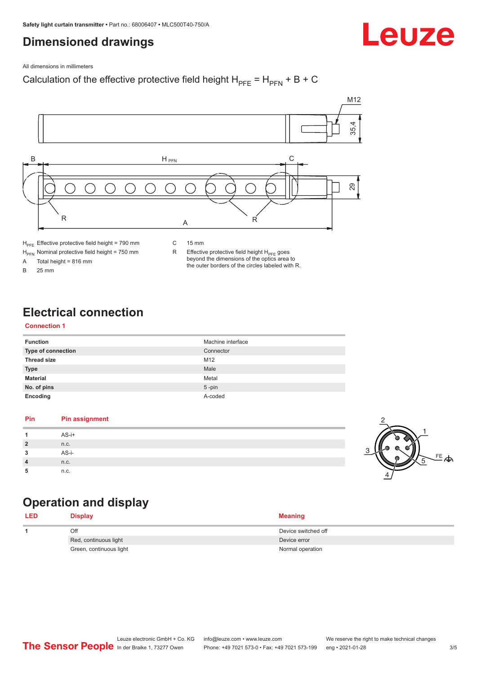# <span id="page-2-0"></span>**Dimensioned drawings**

Leuze

All dimensions in millimeters

### Calculation of the effective protective field height  $H_{PFE} = H_{PFN} + B + C$



 $H_{\text{PFN}}$  Nominal protective field height = 750 mm<br>A Total height = 816 mm

Total height =  $816$  mm

B 25 mm

R Effective protective field height  $H_{PFE}$  goes beyond the dimensions of the optics area to the outer borders of the circles labeled with R.

# **Electrical connection**

#### **Connection 1**

| <b>Function</b>    | Machine interface |
|--------------------|-------------------|
| Type of connection | Connector         |
| <b>Thread size</b> | M12               |
| <b>Type</b>        | Male              |
| <b>Material</b>    | Metal             |
| No. of pins        | $5$ -pin          |
| Encoding           | A-coded           |

#### **Pin Pin assignment 1** AS-i+ **2** n.c. **3** AS-i-**4** n.c. **5** n.c.



# **Operation and display**

| <b>LED</b> | <b>Display</b>          | <b>Meaning</b>      |
|------------|-------------------------|---------------------|
|            | Off                     | Device switched off |
|            | Red, continuous light   | Device error        |
|            | Green, continuous light | Normal operation    |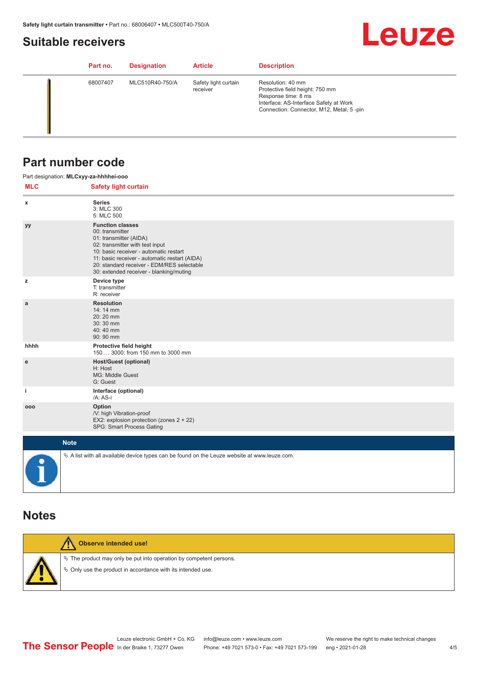## <span id="page-3-0"></span>**Suitable receivers**

# **Leuze**

| Part no. | <b>Designation</b> | <b>Article</b>                   | <b>Description</b>                                                                                                                                                |
|----------|--------------------|----------------------------------|-------------------------------------------------------------------------------------------------------------------------------------------------------------------|
| 68007407 | MLC510R40-750/A    | Safety light curtain<br>receiver | Resolution: 40 mm<br>Protective field height: 750 mm<br>Response time: 8 ms<br>Interface: AS-Interface Safety at Work<br>Connection: Connector, M12, Metal, 5-pin |

## **Part number code**

|            | Part designation: MLCxyy-za-hhhhei-ooo                                                                                                                                                                                                                                                      |
|------------|---------------------------------------------------------------------------------------------------------------------------------------------------------------------------------------------------------------------------------------------------------------------------------------------|
| <b>MLC</b> | <b>Safety light curtain</b>                                                                                                                                                                                                                                                                 |
| x          | <b>Series</b><br>3: MLC 300<br>5: MLC 500                                                                                                                                                                                                                                                   |
| уу         | <b>Function classes</b><br>00: transmitter<br>01: transmitter (AIDA)<br>02: transmitter with test input<br>10: basic receiver - automatic restart<br>11: basic receiver - automatic restart (AIDA)<br>20: standard receiver - EDM/RES selectable<br>30: extended receiver - blanking/muting |
| z          | Device type<br>T: transmitter<br>R: receiver                                                                                                                                                                                                                                                |
| a          | <b>Resolution</b><br>14: 14 mm<br>20:20 mm<br>30:30 mm<br>40:40 mm<br>90: 90 mm                                                                                                                                                                                                             |
| hhhh       | Protective field height<br>150  3000: from 150 mm to 3000 mm                                                                                                                                                                                                                                |
| e          | <b>Host/Guest (optional)</b><br>H: Host<br>MG: Middle Guest<br>G: Guest                                                                                                                                                                                                                     |
| j.         | Interface (optional)<br>/A: AS-i                                                                                                                                                                                                                                                            |
| 000        | Option<br>/V: high Vibration-proof<br>EX2: explosion protection (zones 2 + 22)<br>SPG: Smart Process Gating                                                                                                                                                                                 |
|            | <b>Note</b>                                                                                                                                                                                                                                                                                 |
|            | $\&$ A list with all available device types can be found on the Leuze website at www.leuze.com.                                                                                                                                                                                             |

## **Notes**

| Observe intended use!                                                                                                                |
|--------------------------------------------------------------------------------------------------------------------------------------|
| $\&$ The product may only be put into operation by competent persons.<br>§ Only use the product in accordance with its intended use. |